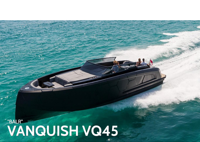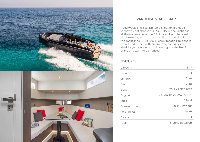

## *VANQUISH VQ45 - BALR*

*If you would like a stylish fun day out on a unique yacht why not choose our VQ45 BALR, the Yacht has all the trademarks of the BALR. brand with her sleek black exterior, in the same detailing as the clothing this makes the BALR YACHT easily recognizable she is a real head turner, with an amazing sound system ideal for younger groups, who recognize the BALR brand and want to be noticed!*

## *FEATURES*

| Capacity:    | 11 pax                |
|--------------|-----------------------|
| Crew:        |                       |
| Length:      | 13.1 m                |
| Beam:        | 4.1 m                 |
| Built:       | 2017 - REFIT 2022     |
| Engine:      | 2 x 435HP VOLVO PENTA |
| Fuel:        | <b>Diesel</b>         |
| Comsumption: | 100-140 ltr/hour      |
| Max Speed:   | 40 kn                 |
| Cabins:      |                       |
| Port:        | Marina Botafoch       |